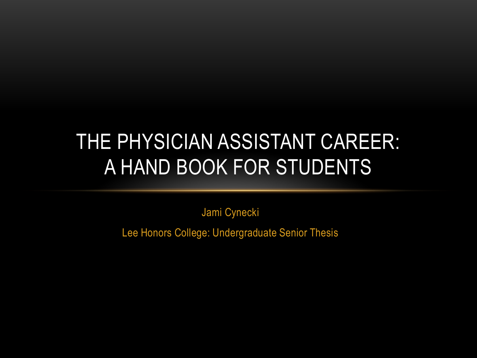#### THE PHYSICIAN ASSISTANT CAREER: A HAND BOOK FOR STUDENTS

Jami Cynecki

Lee Honors College: Undergraduate Senior Thesis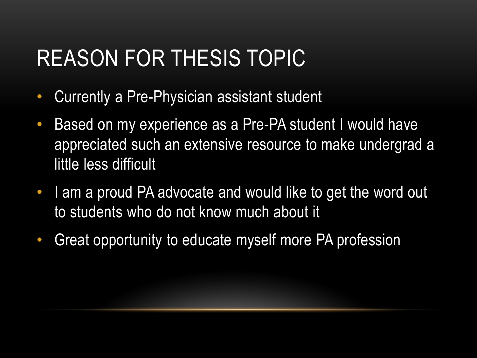#### REASON FOR THESIS TOPIC

- Currently a Pre-Physician assistant student
- Based on my experience as a Pre-PA student I would have appreciated such an extensive resource to make undergrad a little less difficult
- I am a proud PA advocate and would like to get the word out to students who do not know much about it
- Great opportunity to educate myself more PA profession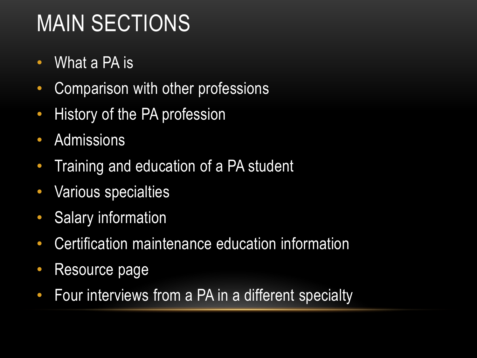### MAIN SECTIONS

- What a PA is
- Comparison with other professions
- History of the PA profession
- Admissions
- Training and education of a PA student
- Various specialties
- Salary information
- Certification maintenance education information
- Resource page
- Four interviews from a PA in a different specialty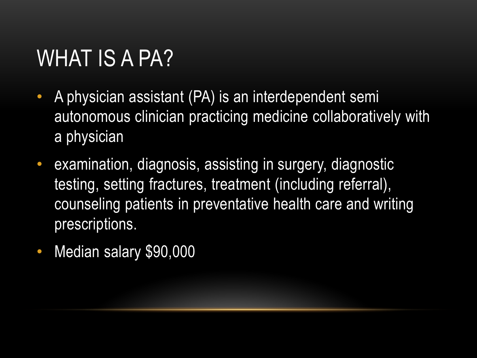## WHAT IS A PA?

- A physician assistant (PA) is an interdependent semi autonomous clinician practicing medicine collaboratively with a physician
- examination, diagnosis, assisting in surgery, diagnostic testing, setting fractures, treatment (including referral), counseling patients in preventative health care and writing prescriptions.
- Median salary \$90,000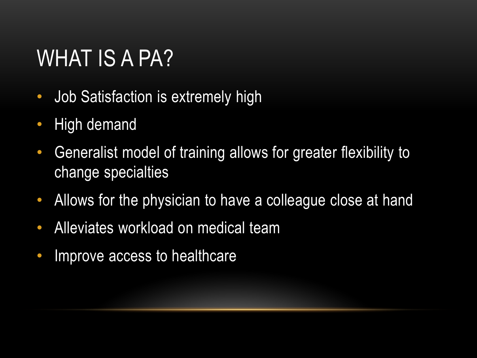### WHAT IS A PA?

- Job Satisfaction is extremely high
- High demand
- Generalist model of training allows for greater flexibility to change specialties
- Allows for the physician to have a colleague close at hand
- Alleviates workload on medical team
- Improve access to healthcare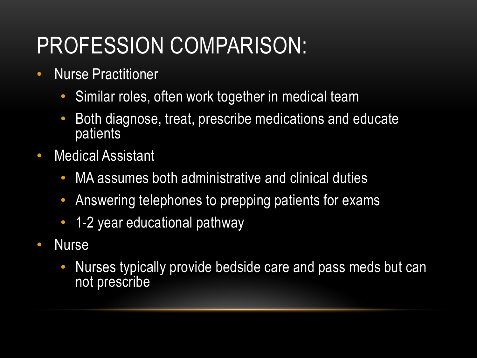### PROFESSION COMPARISON:

- Nurse Practitioner
	- Similar roles, often work together in medical team
	- Both diagnose, treat, prescribe medications and educate patients
- Medical Assistant
	- MA assumes both administrative and clinical duties
	- Answering telephones to prepping patients for exams
	- 1-2 year educational pathway
- Nurse
	- Nurses typically provide bedside care and pass meds but can not prescribe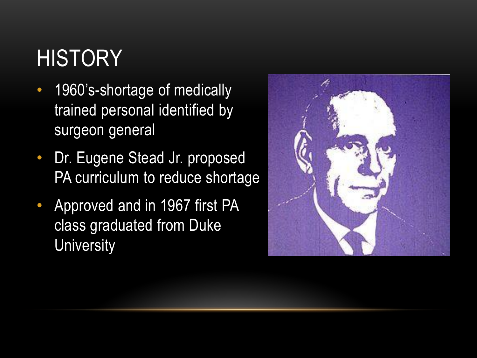## **HISTORY**

- 1960's-shortage of medically trained personal identified by surgeon general
- Dr. Eugene Stead Jr. proposed PA curriculum to reduce shortage
- Approved and in 1967 first PA class graduated from Duke **University**

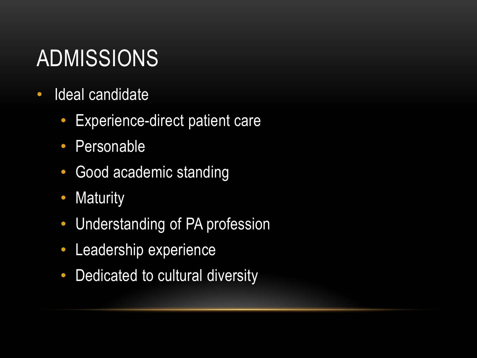## ADMISSIONS

- Ideal candidate
	- Experience-direct patient care
	- Personable
	- Good academic standing
	- Maturity
	- Understanding of PA profession
	- Leadership experience
	- Dedicated to cultural diversity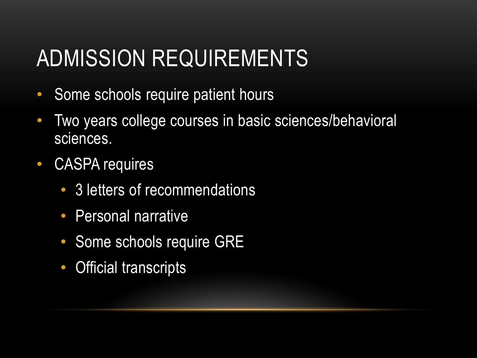### ADMISSION REQUIREMENTS

- Some schools require patient hours
- Two years college courses in basic sciences/behavioral sciences.
- CASPA requires
	- 3 letters of recommendations
	- Personal narrative
	- Some schools require GRE
	- Official transcripts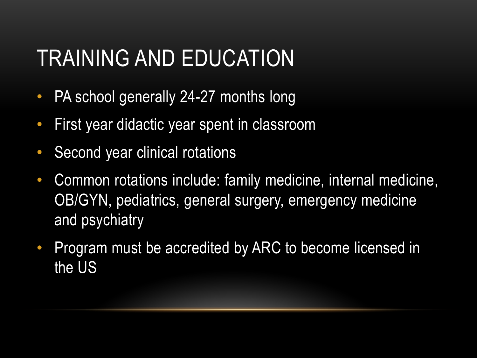### TRAINING AND EDUCATION

- PA school generally 24-27 months long
- First year didactic year spent in classroom
- Second year clinical rotations
- Common rotations include: family medicine, internal medicine, OB/GYN, pediatrics, general surgery, emergency medicine and psychiatry
- Program must be accredited by ARC to become licensed in the US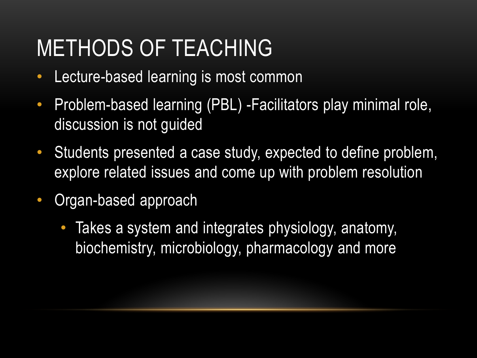### METHODS OF TEACHING

- Lecture-based learning is most common
- Problem-based learning (PBL) -Facilitators play minimal role, discussion is not guided
- Students presented a case study, expected to define problem, explore related issues and come up with problem resolution
- Organ-based approach
	- Takes a system and integrates physiology, anatomy, biochemistry, microbiology, pharmacology and more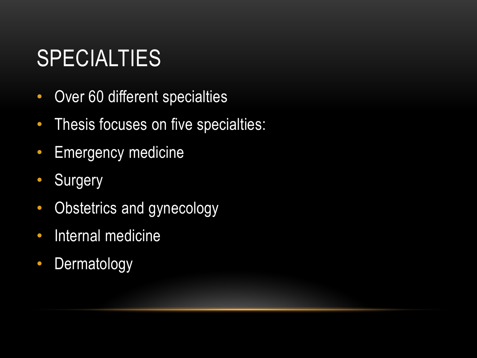### **SPECIALTIES**

- Over 60 different specialties
- Thesis focuses on five specialties:
- Emergency medicine
- Surgery
- Obstetrics and gynecology
- Internal medicine
- Dermatology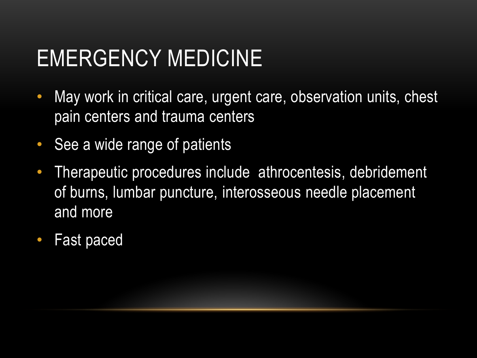### EMERGENCY MEDICINE

- May work in critical care, urgent care, observation units, chest pain centers and trauma centers
- See a wide range of patients
- Therapeutic procedures include athrocentesis, debridement of burns, lumbar puncture, interosseous needle placement and more
- Fast paced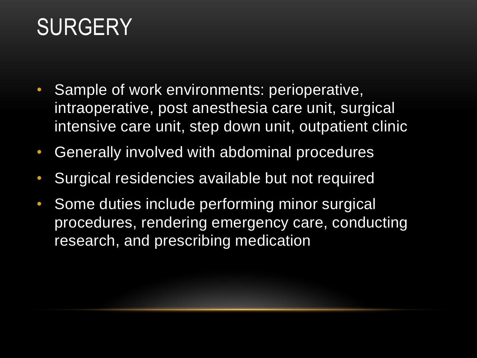### **SURGERY**

- Sample of work environments: perioperative, intraoperative, post anesthesia care unit, surgical intensive care unit, step down unit, outpatient clinic
- Generally involved with abdominal procedures
- Surgical residencies available but not required
- Some duties include performing minor surgical procedures, rendering emergency care, conducting research, and prescribing medication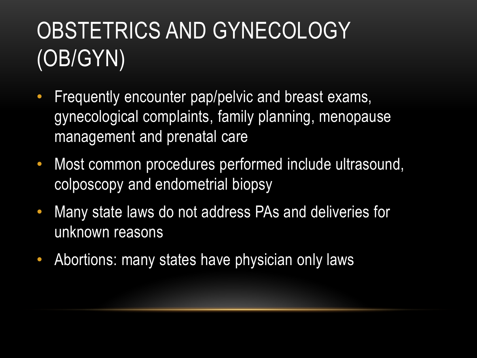# OBSTETRICS AND GYNECOLOGY (OB/GYN)

- Frequently encounter pap/pelvic and breast exams, gynecological complaints, family planning, menopause management and prenatal care
- Most common procedures performed include ultrasound, colposcopy and endometrial biopsy
- Many state laws do not address PAs and deliveries for unknown reasons
- Abortions: many states have physician only laws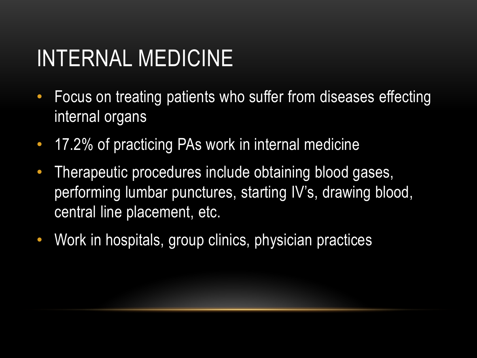### INTERNAL MEDICINE

- Focus on treating patients who suffer from diseases effecting internal organs
- 17.2% of practicing PAs work in internal medicine
- Therapeutic procedures include obtaining blood gases, performing lumbar punctures, starting IV's, drawing blood, central line placement, etc.
- Work in hospitals, group clinics, physician practices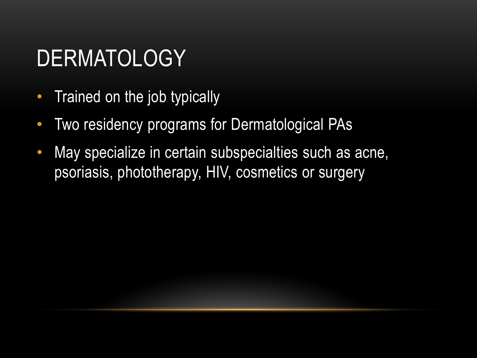### DERMATOLOGY

- Trained on the job typically
- Two residency programs for Dermatological PAs
- May specialize in certain subspecialties such as acne, psoriasis, phototherapy, HIV, cosmetics or surgery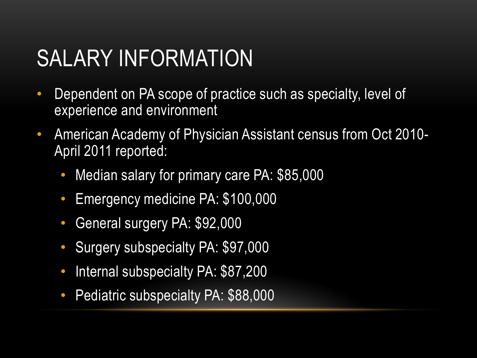#### SALARY INFORMATION

- Dependent on PA scope of practice such as specialty, level of experience and environment
- American Academy of Physician Assistant census from Oct 2010- April 2011 reported:
	- Median salary for primary care PA: \$85,000
	- Emergency medicine PA: \$100,000
	- General surgery PA: \$92,000
	- Surgery subspecialty PA: \$97,000
	- Internal subspecialty PA: \$87,200
	- Pediatric subspecialty PA: \$88,000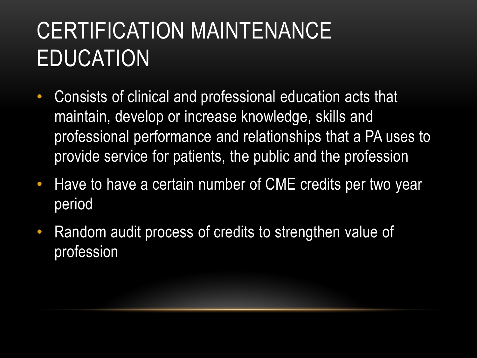# CERTIFICATION MAINTENANCE EDUCATION

- Consists of clinical and professional education acts that maintain, develop or increase knowledge, skills and professional performance and relationships that a PA uses to provide service for patients, the public and the profession
- Have to have a certain number of CME credits per two year period
- Random audit process of credits to strengthen value of profession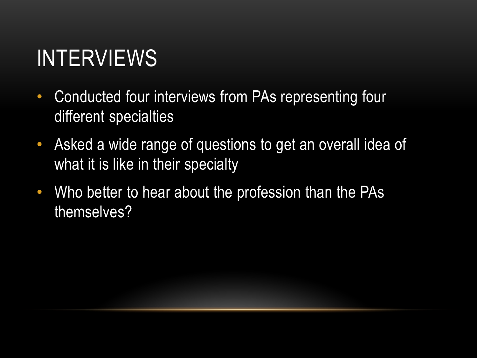### INTERVIEWS

- Conducted four interviews from PAs representing four different specialties
- Asked a wide range of questions to get an overall idea of what it is like in their specialty
- Who better to hear about the profession than the PAs themselves?